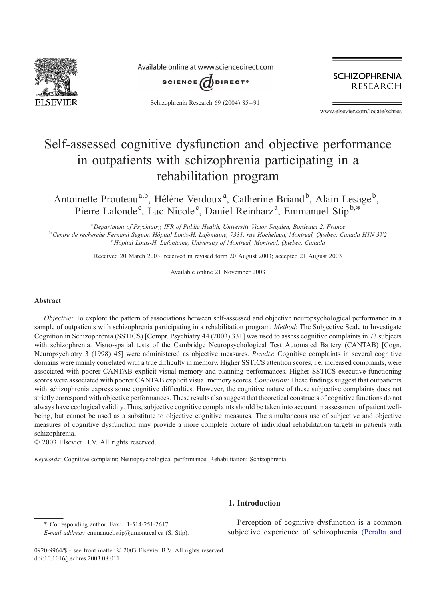

Available online at www.sciencedirect.com



Schizophrenia Research 69 (2004) 85 – 91

**SCHIZOPHRENIA RESEARCH** 

www.elsevier.com/locate/schres

# Self-assessed cognitive dysfunction and objective performance in outpatients with schizophrenia participating in a rehabilitation program

Antoinette Prouteau<sup>a,b</sup>, Hélène Verdoux<sup>a</sup>, Catherine Briand<sup>b</sup>, Alain Lesage<sup>b</sup>, Pierre Lalonde<sup>c</sup>, Luc Nicole<sup>c</sup>, Daniel Reinharz<sup>a</sup>, Emmanuel Stip<sup>b,\*</sup>

<sup>a</sup> Department of Psychiatry, IFR of Public Health, University Victor Segalen, Bordeaux 2, France <sup>b</sup> Centre de recherche Fernand Seguin, Hôpital Louis-H. Lafontaine, 7331, rue Hochelaga, Montreal, Quebec, Canada H1N 3V2 <sup>c</sup> Hôpital Louis-H. Lafontaine, University of Montreal, Montreal, Quebec, Canada

Received 20 March 2003; received in revised form 20 August 2003; accepted 21 August 2003

Available online 21 November 2003

#### Abstract

Objective: To explore the pattern of associations between self-assessed and objective neuropsychological performance in a sample of outpatients with schizophrenia participating in a rehabilitation program. Method: The Subjective Scale to Investigate Cognition in Schizophrenia (SSTICS) [Compr. Psychiatry 44 (2003) 331] was used to assess cognitive complaints in 73 subjects with schizophrenia. Visuo-spatial tests of the Cambridge Neuropsychological Test Automated Battery (CANTAB) [Cogn. Neuropsychiatry 3 (1998) 45] were administered as objective measures. Results: Cognitive complaints in several cognitive domains were mainly correlated with a true difficulty in memory. Higher SSTICS attention scores, i.e. increased complaints, were associated with poorer CANTAB explicit visual memory and planning performances. Higher SSTICS executive functioning scores were associated with poorer CANTAB explicit visual memory scores. Conclusion: These findings suggest that outpatients with schizophrenia express some cognitive difficulties. However, the cognitive nature of these subjective complaints does not strictly correspond with objective performances. These results also suggest that theoretical constructs of cognitive functions do not always have ecological validity. Thus, subjective cognitive complaints should be taken into account in assessment of patient wellbeing, but cannot be used as a substitute to objective cognitive measures. The simultaneous use of subjective and objective measures of cognitive dysfunction may provide a more complete picture of individual rehabilitation targets in patients with schizophrenia.

 $© 2003 Elsevier B.V. All rights reserved.$ 

Keywords: Cognitive complaint; Neuropsychological performance; Rehabilitation; Schizophrenia

# 1. Introduction

Perception of cognitive dysfunction is a common subjective experience of schizophrenia [\(Peralta and](#page-5-0)

<sup>\*</sup> Corresponding author. Fax: +1-514-251-2617. E-mail address: emmanuel.stip@umontreal.ca (S. Stip).

<sup>0920-9964/\$ -</sup> see front matter © 2003 Elsevier B.V. All rights reserved. doi:10.1016/j.schres.2003.08.011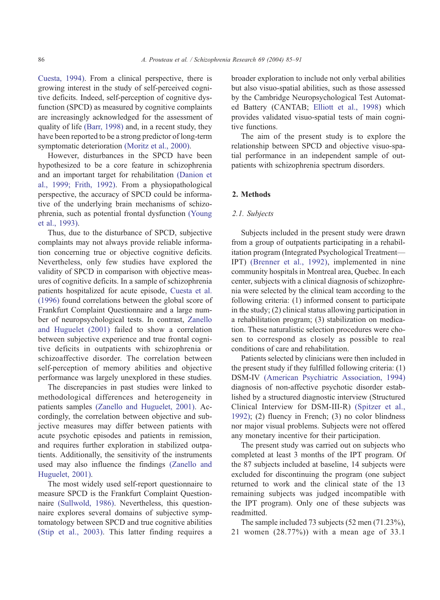Cuesta, 1994). From a clinical perspective, there is growing interest in the study of self-perceived cognitive deficits. Indeed, self-perception of cognitive dysfunction (SPCD) as measured by cognitive complaints are increasingly acknowledged for the assessment of quality of life [\(Barr, 1998\)](#page-5-0) and, in a recent study, they have been reported to be a strong predictor of long-term symptomatic deterioration [\(Moritz et al., 2000\).](#page-5-0)

However, disturbances in the SPCD have been hypothesized to be a core feature in schizophrenia and an important target for rehabilitation [\(Danion et](#page-5-0) al., 1999; Frith, 1992). From a physiopathological perspective, the accuracy of SPCD could be informative of the underlying brain mechanisms of schizophrenia, such as potential frontal dysfunction [\(Young](#page-6-0) et al., 1993).

Thus, due to the disturbance of SPCD, subjective complaints may not always provide reliable information concerning true or objective cognitive deficits. Nevertheless, only few studies have explored the validity of SPCD in comparison with objective measures of cognitive deficits. In a sample of schizophrenia patients hospitalized for acute episode, [Cuesta et al.](#page-5-0) (1996) found correlations between the global score of Frankfurt Complaint Questionnaire and a large number of neuropsychological tests. In contrast, [Zanello](#page-6-0) and Huguelet (2001) failed to show a correlation between subjective experience and true frontal cognitive deficits in outpatients with schizophrenia or schizoaffective disorder. The correlation between self-perception of memory abilities and objective performance was largely unexplored in these studies.

The discrepancies in past studies were linked to methodological differences and heterogeneity in patients samples [\(Zanello and Huguelet, 2001\).](#page-6-0) Accordingly, the correlation between objective and subjective measures may differ between patients with acute psychotic episodes and patients in remission, and requires further exploration in stabilized outpatients. Additionally, the sensitivity of the instruments used may also influence the findings [\(Zanello and](#page-6-0) Huguelet, 2001).

The most widely used self-report questionnaire to measure SPCD is the Frankfurt Complaint Questionnaire [\(Sullwold, 1986\).](#page-6-0) Nevertheless, this questionnaire explores several domains of subjective symptomatology between SPCD and true cognitive abilities [\(Stip et al., 2003\).](#page-6-0) This latter finding requires a broader exploration to include not only verbal abilities but also visuo-spatial abilities, such as those assessed by the Cambridge Neuropsychological Test Automated Battery (CANTAB; [Elliott et al., 1998\)](#page-5-0) which provides validated visuo-spatial tests of main cognitive functions.

The aim of the present study is to explore the relationship between SPCD and objective visuo-spatial performance in an independent sample of outpatients with schizophrenia spectrum disorders.

## 2. Methods

#### 2.1. Subjects

Subjects included in the present study were drawn from a group of outpatients participating in a rehabilitation program (Integrated Psychological Treatment— IPT) [\(Brenner et al., 1992\),](#page-5-0) implemented in nine community hospitals in Montreal area, Quebec. In each center, subjects with a clinical diagnosis of schizophrenia were selected by the clinical team according to the following criteria: (1) informed consent to participate in the study; (2) clinical status allowing participation in a rehabilitation program; (3) stabilization on medication. These naturalistic selection procedures were chosen to correspond as closely as possible to real conditions of care and rehabilitation.

Patients selected by clinicians were then included in the present study if they fulfilled following criteria: (1) DSM-IV [\(American Psychiatric Association, 1994\)](#page-5-0) diagnosis of non-affective psychotic disorder established by a structured diagnostic interview (Structured Clinical Interview for DSM-III-R) [\(Spitzer et al.,](#page-5-0) 1992); (2) fluency in French; (3) no color blindness nor major visual problems. Subjects were not offered any monetary incentive for their participation.

The present study was carried out on subjects who completed at least 3 months of the IPT program. Of the 87 subjects included at baseline, 14 subjects were excluded for discontinuing the program (one subject returned to work and the clinical state of the 13 remaining subjects was judged incompatible with the IPT program). Only one of these subjects was readmitted.

The sample included 73 subjects (52 men (71.23%), 21 women (28.77%)) with a mean age of 33.1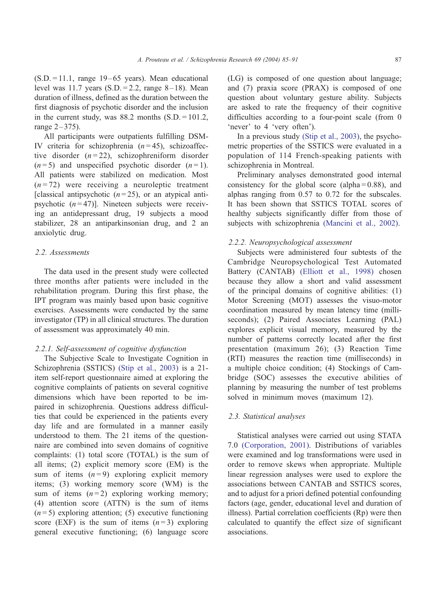$(S.D. = 11.1$ , range  $19-65$  years). Mean educational level was 11.7 years  $(S.D. = 2.2, \text{ range } 8-18)$ . Mean duration of illness, defined as the duration between the first diagnosis of psychotic disorder and the inclusion in the current study, was  $88.2$  months  $(S.D. = 101.2,$ range  $2-375$ ).

All participants were outpatients fulfilling DSM-IV criteria for schizophrenia  $(n=45)$ , schizoaffective disorder  $(n=22)$ , schizophreniform disorder  $(n=5)$  and unspecified psychotic disorder  $(n=1)$ . All patients were stabilized on medication. Most  $(n=72)$  were receiving a neuroleptic treatment [classical antipsychotic  $(n=25)$ , or an atypical antipsychotic  $(n=47)$ ]. Nineteen subjects were receiving an antidepressant drug, 19 subjects a mood stabilizer, 28 an antiparkinsonian drug, and 2 an anxiolytic drug.

#### 2.2. Assessments

The data used in the present study were collected three months after patients were included in the rehabilitation program. During this first phase, the IPT program was mainly based upon basic cognitive exercises. Assessments were conducted by the same investigator (TP) in all clinical structures. The duration of assessment was approximately 40 min.

#### 2.2.1. Self-assessment of cognitive dysfunction

The Subjective Scale to Investigate Cognition in Schizophrenia (SSTICS) [\(Stip et al., 2003\)](#page-6-0) is a 21 item self-report questionnaire aimed at exploring the cognitive complaints of patients on several cognitive dimensions which have been reported to be impaired in schizophrenia. Questions address difficulties that could be experienced in the patients every day life and are formulated in a manner easily understood to them. The 21 items of the questionnaire are combined into seven domains of cognitive complaints: (1) total score (TOTAL) is the sum of all items; (2) explicit memory score (EM) is the sum of items  $(n=9)$  exploring explicit memory items; (3) working memory score (WM) is the sum of items  $(n=2)$  exploring working memory; (4) attention score (ATTN) is the sum of items  $(n=5)$  exploring attention; (5) executive functioning score (EXF) is the sum of items  $(n=3)$  exploring general executive functioning; (6) language score (LG) is composed of one question about language; and (7) praxia score (PRAX) is composed of one question about voluntary gesture ability. Subjects are asked to rate the frequency of their cognitive difficulties according to a four-point scale (from 0 'never' to 4 'very often').

In a previous study [\(Stip et al., 2003\),](#page-6-0) the psychometric properties of the SSTICS were evaluated in a population of 114 French-speaking patients with schizophrenia in Montreal.

Preliminary analyses demonstrated good internal consistency for the global score (alpha =  $0.88$ ), and alphas ranging from 0.57 to 0.72 for the subscales. It has been shown that SSTICS TOTAL scores of healthy subjects significantly differ from those of subjects with schizophrenia [\(Mancini et al., 2002\).](#page-5-0)

#### 2.2.2. Neuropsychological assessment

Subjects were administered four subtests of the Cambridge Neuropsychological Test Automated Battery (CANTAB) [\(Elliott et al., 1998\)](#page-5-0) chosen because they allow a short and valid assessment of the principal domains of cognitive abilities: (1) Motor Screening (MOT) assesses the visuo-motor coordination measured by mean latency time (milliseconds); (2) Paired Associates Learning (PAL) explores explicit visual memory, measured by the number of patterns correctly located after the first presentation (maximum 26); (3) Reaction Time (RTI) measures the reaction time (milliseconds) in a multiple choice condition; (4) Stockings of Cambridge (SOC) assesses the executive abilities of planning by measuring the number of test problems solved in minimum moves (maximum 12).

#### 2.3. Statistical analyses

Statistical analyses were carried out using STATA 7.0 [\(Corporation, 2001\).](#page-5-0) Distributions of variables were examined and log transformations were used in order to remove skews when appropriate. Multiple linear regression analyses were used to explore the associations between CANTAB and SSTICS scores, and to adjust for a priori defined potential confounding factors (age, gender, educational level and duration of illness). Partial correlation coefficients (Rp) were then calculated to quantify the effect size of significant associations.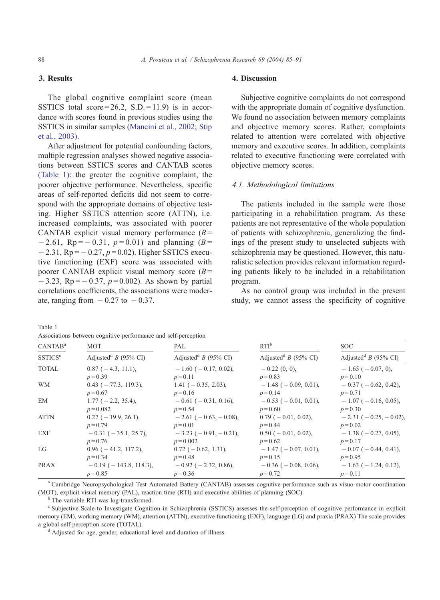# 3. Results

Table 1

The global cognitive complaint score (mean SSTICS total score =  $26.2$ , S.D. =  $11.9$ ) is in accordance with scores found in previous studies using the SSTICS in similar samples [\(Mancini et al., 2002; Stip](#page-5-0) et al., 2003).

After adjustment for potential confounding factors, multiple regression analyses showed negative associations between SSTICS scores and CANTAB scores (Table 1): the greater the cognitive complaint, the poorer objective performance. Nevertheless, specific areas of self-reported deficits did not seem to correspond with the appropriate domains of objective testing. Higher SSTICS attention score (ATTN), i.e. increased complaints, was associated with poorer CANTAB explicit visual memory performance  $(B =$  $-2.61$ , Rp =  $-0.31$ , p = 0.01) and planning (B =  $-2.31$ , Rp =  $-0.27$ , p = 0.02). Higher SSTICS executive functioning (EXF) score was associated with poorer CANTAB explicit visual memory score  $(B =$  $-3.23$ , Rp =  $-0.37$ , p = 0.002). As shown by partial correlations coefficients, the associations were moderate, ranging from  $-0.27$  to  $-0.37$ .

# 4. Discussion

Subjective cognitive complaints do not correspond with the appropriate domain of cognitive dysfunction. We found no association between memory complaints and objective memory scores. Rather, complaints related to attention were correlated with objective memory and executive scores. In addition, complaints related to executive functioning were correlated with objective memory scores.

### 4.1. Methodological limitations

The patients included in the sample were those participating in a rehabilitation program. As these patients are not representative of the whole population of patients with schizophrenia, generalizing the findings of the present study to unselected subjects with schizophrenia may be questioned. However, this naturalistic selection provides relevant information regarding patients likely to be included in a rehabilitation program.

As no control group was included in the present study, we cannot assess the specificity of cognitive

| CANTAB <sup>a</sup><br><b>SSTICS<sup>c</sup></b> | <i>r resociations</i> between cognitive performance and sen-perception<br><b>MOT</b><br>Adjusted <sup>d</sup> B (95% CI) | PAL<br>Adjusted <sup>d</sup> B (95% CI) | RTI <sup>b</sup><br>Adjusted <sup>d</sup> B (95% CI) | SOC.<br>Adjusted <sup>d</sup> B (95% CI) |              |                          |                            |                 |                         |
|--------------------------------------------------|--------------------------------------------------------------------------------------------------------------------------|-----------------------------------------|------------------------------------------------------|------------------------------------------|--------------|--------------------------|----------------------------|-----------------|-------------------------|
|                                                  |                                                                                                                          |                                         |                                                      |                                          | <b>TOTAL</b> | $0.87$ ( $-4.3$ , 11.1), | $-1.60$ ( $-0.17$ , 0.02), | $-0.22(0, 0)$ , | $-1.65$ ( $-0.07, 0$ ), |
|                                                  |                                                                                                                          |                                         |                                                      |                                          |              | $p = 0.39$               | $p = 0.11$                 | $p = 0.83$      | $p = 0.10$              |
| WM                                               | $0.43$ ( $-77.3$ , 119.3),                                                                                               | $1.41$ ( $-0.35$ , 2.03),               | $-1.48$ ( $-0.09$ , 0.01),                           | $-0.37(-0.62, 0.42),$                    |              |                          |                            |                 |                         |
|                                                  | $p = 0.67$                                                                                                               | $p = 0.16$                              | $p = 0.14$                                           | $p = 0.71$                               |              |                          |                            |                 |                         |
| EM                                               | $1.77(-2.2, 35.4),$                                                                                                      | $-0.61$ ( $-0.31$ , 0.16),              | $-0.53$ ( $-0.01, 0.01$ ),                           | $-1.07$ ( $-0.16$ , 0.05),               |              |                          |                            |                 |                         |
|                                                  | $p = 0.082$                                                                                                              | $p = 0.54$                              | $p = 0.60$                                           | $p = 0.30$                               |              |                          |                            |                 |                         |
| <b>ATTN</b>                                      | $0.27$ ( $-19.9$ , 26.1),                                                                                                | $-2.61$ ( $-0.63$ , $-0.08$ ),          | $0.79$ ( $-0.01$ , $0.02$ ),                         | $-2.31(-0.25,-0.02),$                    |              |                          |                            |                 |                         |
|                                                  | $p = 0.79$                                                                                                               | $p = 0.01$                              | $p = 0.44$                                           | $p = 0.02$                               |              |                          |                            |                 |                         |
| <b>EXF</b>                                       | $-0.31$ ( $-35.1$ , 25.7),                                                                                               | $-3.23$ ( $-0.91$ , $-0.21$ ),          | $0.50$ ( $-0.01$ , $0.02$ ),                         | $-1.38$ ( $-0.27$ , 0.05),               |              |                          |                            |                 |                         |
|                                                  | $p = 0.76$                                                                                                               | $p = 0.002$                             | $p = 0.62$                                           | $p = 0.17$                               |              |                          |                            |                 |                         |
| LG                                               | $0.96$ ( $-41.2$ , 117.2),                                                                                               | $0.72$ ( $-0.62$ , 1.31),               | $-1.47$ ( $-0.07, 0.01$ ),                           | $-0.07$ ( $-0.44$ , 0.41),               |              |                          |                            |                 |                         |
|                                                  | $p = 0.34$                                                                                                               | $p = 0.48$                              | $p = 0.15$                                           | $p = 0.95$                               |              |                          |                            |                 |                         |
| <b>PRAX</b>                                      | $-0.19$ ( $-143.8$ , 118.3),                                                                                             | $-0.92$ ( $-2.32$ , 0.86),              | $-0.36$ ( $-0.08$ , 0.06),                           | $-1.63$ ( $-1.24$ , 0.12),               |              |                          |                            |                 |                         |
|                                                  | $p = 0.85$                                                                                                               | $p = 0.36$                              | $p = 0.72$                                           | $p = 0.11$                               |              |                          |                            |                 |                         |

Associations between cognitive performance and self-perception

<sup>a</sup> Cambridge Neuropsychological Test Automated Battery (CANTAB) assesses cognitive performance such as visuo-motor coordination (MOT), explicit visual memory (PAL), reaction time (RTI) and executive abilities of planning (SOC). <sup>b</sup> The variable RTI was log-transformed.

<sup>c</sup> Subjective Scale to Investigate Cognition in Schizophrenia (SSTICS) assesses the self-perception of cognitive performance in explicit memory (EM), working memory (WM), attention (ATTN), executive functioning (EXF), language (LG) and praxia (PRAX) The scale provides a global self-perception score (TOTAL). <sup>d</sup> Adjusted for age, gender, educational level and duration of illness.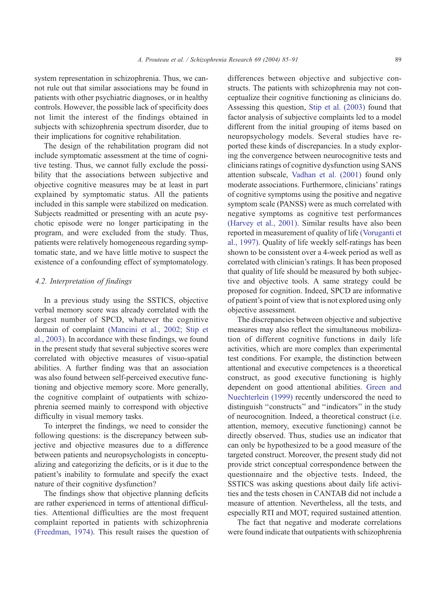system representation in schizophrenia. Thus, we cannot rule out that similar associations may be found in patients with other psychiatric diagnoses, or in healthy controls. However, the possible lack of specificity does not limit the interest of the findings obtained in subjects with schizophrenia spectrum disorder, due to their implications for cognitive rehabilitation.

The design of the rehabilitation program did not include symptomatic assessment at the time of cognitive testing. Thus, we cannot fully exclude the possibility that the associations between subjective and objective cognitive measures may be at least in part explained by symptomatic status. All the patients included in this sample were stabilized on medication. Subjects readmitted or presenting with an acute psychotic episode were no longer participating in the program, and were excluded from the study. Thus, patients were relatively homogeneous regarding symptomatic state, and we have little motive to suspect the existence of a confounding effect of symptomatology.

#### 4.2. Interpretation of findings

In a previous study using the SSTICS, objective verbal memory score was already correlated with the largest number of SPCD, whatever the cognitive domain of complaint [\(Mancini et al., 2002; Stip et](#page-5-0) al., 2003). In accordance with these findings, we found in the present study that several subjective scores were correlated with objective measures of visuo-spatial abilities. A further finding was that an association was also found between self-perceived executive functioning and objective memory score. More generally, the cognitive complaint of outpatients with schizophrenia seemed mainly to correspond with objective difficulty in visual memory tasks.

To interpret the findings, we need to consider the following questions: is the discrepancy between subjective and objective measures due to a difference between patients and neuropsychologists in conceptualizing and categorizing the deficits, or is it due to the patient's inability to formulate and specify the exact nature of their cognitive dysfunction?

The findings show that objective planning deficits are rather experienced in terms of attentional difficulties. Attentional difficulties are the most frequent complaint reported in patients with schizophrenia [\(Freedman, 1974\)](#page-5-0). This result raises the question of differences between objective and subjective constructs. The patients with schizophrenia may not conceptualize their cognitive functioning as clinicians do. Assessing this question, [Stip et al. \(2003\)](#page-6-0) found that factor analysis of subjective complaints led to a model different from the initial grouping of items based on neuropsychology models. Several studies have reported these kinds of discrepancies. In a study exploring the convergence between neurocognitive tests and clinicians ratings of cognitive dysfunction using SANS attention subscale, [Vadhan et al. \(2001\)](#page-6-0) found only moderate associations. Furthermore, clinicians' ratings of cognitive symptoms using the positive and negative symptom scale (PANSS) were as much correlated with negative symptoms as cognitive test performances [\(Harvey et al., 2001\).](#page-5-0) Similar results have also been reported in measurement of quality of life [\(Voruganti et](#page-6-0) al., 1997). Quality of life weekly self-ratings has been shown to be consistent over a 4-week period as well as correlated with clinician's ratings. It has been proposed that quality of life should be measured by both subjective and objective tools. A same strategy could be proposed for cognition. Indeed, SPCD are informative of patient's point of view that is not explored using only objective assessment.

The discrepancies between objective and subjective measures may also reflect the simultaneous mobilization of different cognitive functions in daily life activities, which are more complex than experimental test conditions. For example, the distinction between attentional and executive competences is a theoretical construct, as good executive functioning is highly dependent on good attentional abilities. [Green and](#page-5-0) Nuechterlein (1999) recently underscored the need to distinguish ''constructs'' and ''indicators'' in the study of neurocognition. Indeed, a theoretical construct (i.e. attention, memory, executive functioning) cannot be directly observed. Thus, studies use an indicator that can only be hypothesized to be a good measure of the targeted construct. Moreover, the present study did not provide strict conceptual correspondence between the questionnaire and the objective tests. Indeed, the SSTICS was asking questions about daily life activities and the tests chosen in CANTAB did not include a measure of attention. Nevertheless, all the tests, and especially RTI and MOT, required sustained attention.

The fact that negative and moderate correlations were found indicate that outpatients with schizophrenia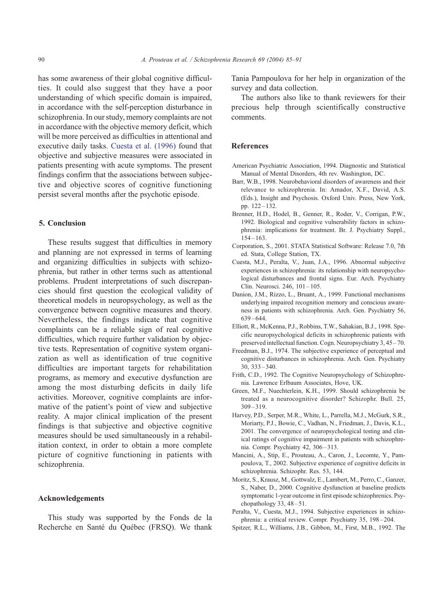<span id="page-5-0"></span>has some awareness of their global cognitive difficulties. It could also suggest that they have a poor understanding of which specific domain is impaired, in accordance with the self-perception disturbance in schizophrenia. In our study, memory complaints are not in accordance with the objective memory deficit, which will be more perceived as difficulties in attentional and executive daily tasks. Cuesta et al. (1996) found that objective and subjective measures were associated in patients presenting with acute symptoms. The present findings confirm that the associations between subjective and objective scores of cognitive functioning persist several months after the psychotic episode.

## 5. Conclusion

These results suggest that difficulties in memory and planning are not expressed in terms of learning and organizing difficulties in subjects with schizophrenia, but rather in other terms such as attentional problems. Prudent interpretations of such discrepancies should first question the ecological validity of theoretical models in neuropsychology, as well as the convergence between cognitive measures and theory. Nevertheless, the findings indicate that cognitive complaints can be a reliable sign of real cognitive difficulties, which require further validation by objective tests. Representation of cognitive system organization as well as identification of true cognitive difficulties are important targets for rehabilitation programs, as memory and executive dysfunction are among the most disturbing deficits in daily life activities. Moreover, cognitive complaints are informative of the patient's point of view and subjective reality. A major clinical implication of the present findings is that subjective and objective cognitive measures should be used simultaneously in a rehabilitation context, in order to obtain a more complete picture of cognitive functioning in patients with schizophrenia.

## Acknowledgements

This study was supported by the Fonds de la Recherche en Santé du Québec (FRSQ). We thank Tania Pampoulova for her help in organization of the survey and data collection.

The authors also like to thank reviewers for their precious help through scientifically constructive comments.

#### References

- American Psychiatric Association, 1994. Diagnostic and Statistical Manual of Mental Disorders, 4th rev. Washington, DC.
- Barr, W.B., 1998. Neurobehavioral disorders of awareness and their relevance to schizophrenia. In: Amador, X.F., David, A.S. (Eds.), Insight and Psychosis. Oxford Univ. Press, New York, pp. 122 – 132.
- Brenner, H.D., Hodel, B., Genner, R., Roder, V., Corrigan, P.W., 1992. Biological and cognitive vulnerability factors in schizophrenia: implications for treatment. Br. J. Psychiatry Suppl.,  $154 - 163.$
- Corporation, S., 2001. STATA Statistical Software: Release 7.0, 7th ed. Stata, College Station, TX.
- Cuesta, M.J., Peralta, V., Juan, J.A., 1996. Abnormal subjective experiences in schizophrenia: its relationship with neuropsychological disturbances and frontal signs. Eur. Arch. Psychiatry Clin. Neurosci. 246, 101-105.
- Danion, J.M., Rizzo, L., Bruant, A., 1999. Functional mechanisms underlying impaired recognition memory and conscious awareness in patients with schizophrenia. Arch. Gen. Psychiatry 56,  $639 - 644.$
- Elliott, R., McKenna, P.J., Robbins, T.W., Sahakian, B.J., 1998. Specific neuropsychological deficits in schizophrenic patients with preserved intellectual function. Cogn. Neuropsychiatry 3, 45 – 70.
- Freedman, B.J., 1974. The subjective experience of perceptual and cognitive disturbances in schizophrenia. Arch. Gen. Psychiatry 30, 333 – 340.
- Frith, C.D., 1992. The Cognitive Neuropsychology of Schizophrenia. Lawrence Erlbaum Associates, Hove, UK.
- Green, M.F., Nuechterlein, K.H., 1999. Should schizophrenia be treated as a neurocognitive disorder? Schizophr. Bull. 25,  $309 - 319.$
- Harvey, P.D., Serper, M.R., White, L., Parrella, M.J., McGurk, S.R., Moriarty, P.J., Bowie, C., Vadhan, N., Friedman, J., Davis, K.L., 2001. The convergence of neuropsychological testing and clinical ratings of cognitive impairment in patients with schizophrenia. Compr. Psychiatry 42, 306 – 313.
- Mancini, A., Stip, E., Prouteau, A., Caron, J., Lecomte, Y., Pampoulova, T., 2002. Subjective experience of cognitive deficits in schizophrenia. Schizophr. Res. 53, 144.
- Moritz, S., Krausz, M., Gottwalz, E., Lambert, M., Perro, C., Ganzer, S., Naber, D., 2000. Cognitive dysfunction at baseline predicts symptomatic 1-year outcome in first episode schizophrenics. Psychopathology  $33, 48 - 51$ .
- Peralta, V., Cuesta, M.J., 1994. Subjective experiences in schizophrenia: a critical review. Compr. Psychiatry 35, 198 – 204.
- Spitzer, R.L., Williams, J.B., Gibbon, M., First, M.B., 1992. The